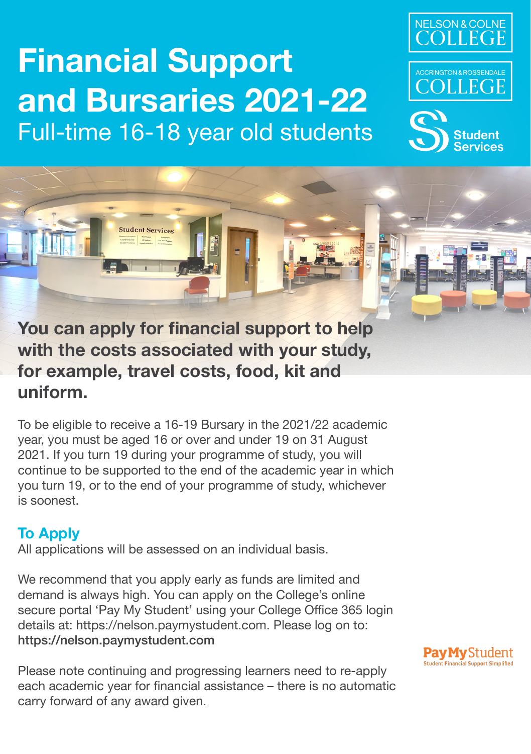# **Financial Support and Bursaries 2021-22** Full-time 16-18 year old students







**You can apply for financial support to help with the costs associated with your study, for example, travel costs, food, kit and uniform.**

To be eligible to receive a 16-19 Bursary in the 2021/22 academic year, you must be aged 16 or over and under 19 on 31 August 2021. If you turn 19 during your programme of study, you will continue to be supported to the end of the academic year in which you turn 19, or to the end of your programme of study, whichever is soonest.

# **To Apply**

All applications will be assessed on an individual basis.

We recommend that you apply early as funds are limited and demand is always high. You can apply on the College's online secure portal 'Pay My Student' using your College Office 365 login details at: https://nelson.paymystudent.com. Please log on to: https://nelson.paymystudent.com

Please note continuing and progressing learners need to re-apply each academic year for financial assistance – there is no automatic carry forward of any award given.